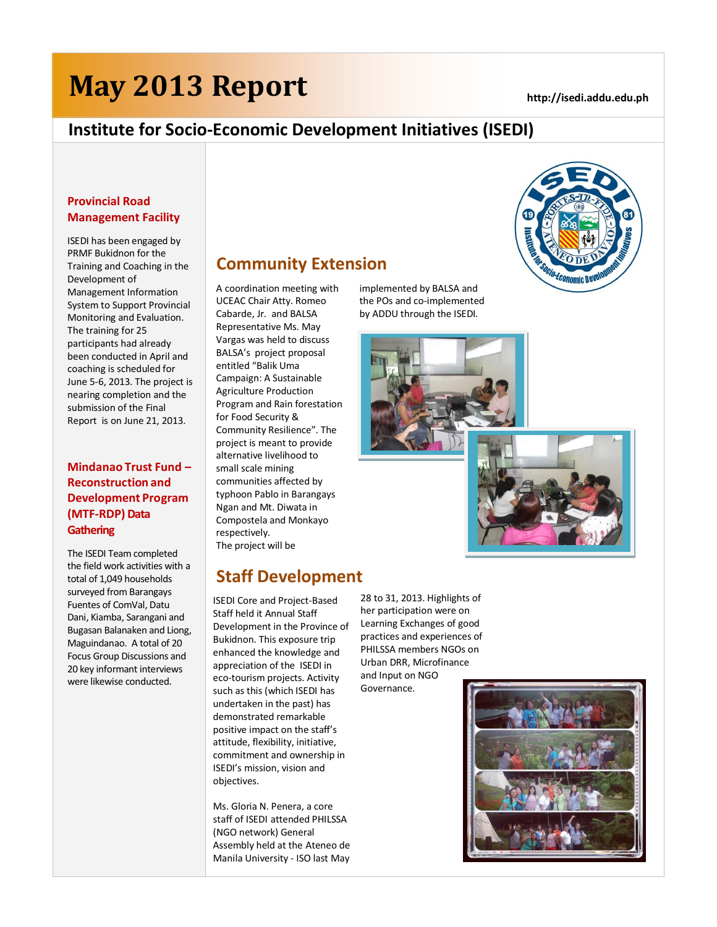# **May 2013 Report**

*Economic De* 

# **Institute for Socio-Economic Development Initiatives (ISEDI)**

### **Provincial Road Management Facility**

ISEDI has been engaged by PRMF Bukidnon for the Training and Coaching in the Development of Management Information System to Support Provincial Monitoring and Evaluation. The training for 25 participants had already been conducted in April and coaching is scheduled for June 5-6, 2013. The project is nearing completion and the submission of the Final Report is on June 21, 2013.

## **Mindanao Trust Fund – Reconstruction and Development Program (MTF-RDP) Data Gathering**

The ISEDI Team completed the field work activities with a total of 1,049 households surveyed from Barangays Fuentes of ComVal, Datu Dani, Kiamba, Sarangani and Bugasan Balanaken and Liong, Maguindanao. A total of 20 Focus Group Discussions and 20 key informant interviews were likewise conducted.

# **Community Extension**

A coordination meeting with UCEAC Chair Atty. Romeo Cabarde, Jr. and BALSA Representative Ms. May Vargas was held to discuss BALSA's project proposal entitled "Balik Uma Campaign: A Sustainable Agriculture Production Program and Rain forestation for Food Security & Community Resilience". The project is meant to provide alternative livelihood to small scale mining communities affected by typhoon Pablo in Barangays Ngan and Mt. Diwata in Compostela and Monkayo respectively. The project will be

# **Staff Development**

ISEDI Core and Project-Based Staff held it Annual Staff Development in the Province of Bukidnon. This exposure trip enhanced the knowledge and appreciation of the ISEDI in eco-tourism projects. Activity such as this (which ISEDI has undertaken in the past) has demonstrated remarkable positive impact on the staff's attitude, flexibility, initiative, commitment and ownership in ISEDI's mission, vision and objectives.

Ms. Gloria N. Penera, a core staff of ISEDI attended PHILSSA (NGO network) General Assembly held at the Ateneo de Manila University - ISO last May implemented by BALSA and the POs and co-implemented by ADDU through the ISEDI.







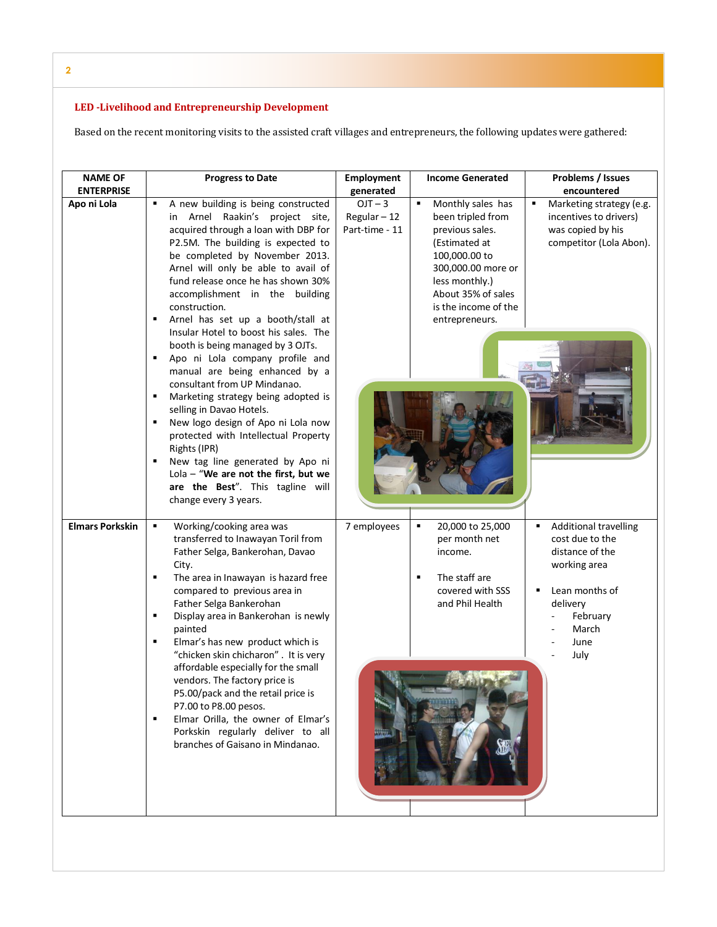**2**

# LED -Livelihood and Entrepreneurship Development<br>-

Based on the recent monitoring visits to the assisted craft villages and entrepreneurs, the following updates were gathered:

| <b>NAME OF</b><br><b>ENTERPRISE</b> | <b>Progress to Date</b>                                                                                                                                                                                                                                                                                                                                                                                                                                                                                                                                                                                                   | Employment<br>generated                   | <b>Income Generated</b>                                                                                                                                                                                  | Problems / Issues<br>encountered                                                                                                                           |
|-------------------------------------|---------------------------------------------------------------------------------------------------------------------------------------------------------------------------------------------------------------------------------------------------------------------------------------------------------------------------------------------------------------------------------------------------------------------------------------------------------------------------------------------------------------------------------------------------------------------------------------------------------------------------|-------------------------------------------|----------------------------------------------------------------------------------------------------------------------------------------------------------------------------------------------------------|------------------------------------------------------------------------------------------------------------------------------------------------------------|
| Apo ni Lola                         | A new building is being constructed<br>٠<br>in Arnel Raakin's project site,<br>acquired through a loan with DBP for<br>P2.5M. The building is expected to<br>be completed by November 2013.<br>Arnel will only be able to avail of<br>fund release once he has shown 30%<br>accomplishment in the building<br>construction.<br>Arnel has set up a booth/stall at                                                                                                                                                                                                                                                          | $OJT - 3$<br>Regular-12<br>Part-time - 11 | ٠<br>Monthly sales has<br>been tripled from<br>previous sales.<br>(Estimated at<br>100,000.00 to<br>300,000.00 more or<br>less monthly.)<br>About 35% of sales<br>is the income of the<br>entrepreneurs. | Marketing strategy (e.g.<br>٠<br>incentives to drivers)<br>was copied by his<br>competitor (Lola Abon).                                                    |
|                                     | Insular Hotel to boost his sales. The<br>booth is being managed by 3 OJTs.<br>Apo ni Lola company profile and<br>٠<br>manual are being enhanced by a<br>consultant from UP Mindanao.<br>Marketing strategy being adopted is<br>selling in Davao Hotels.<br>New logo design of Apo ni Lola now<br>٠<br>protected with Intellectual Property<br>Rights (IPR)<br>New tag line generated by Apo ni<br>Lola $-$ "We are not the first, but we<br>are the Best". This tagline will<br>change every 3 years.                                                                                                                     |                                           |                                                                                                                                                                                                          |                                                                                                                                                            |
| <b>Elmars Porkskin</b>              | Working/cooking area was<br>٠<br>transferred to Inawayan Toril from<br>Father Selga, Bankerohan, Davao<br>City.<br>The area in Inawayan is hazard free<br>٠<br>compared to previous area in<br>Father Selga Bankerohan<br>Display area in Bankerohan is newly<br>٠<br>painted<br>Elmar's has new product which is<br>٠<br>"chicken skin chicharon". It is very<br>affordable especially for the small<br>vendors. The factory price is<br>P5.00/pack and the retail price is<br>P7.00 to P8.00 pesos.<br>Elmar Orilla, the owner of Elmar's<br>٠<br>Porkskin regularly deliver to all<br>branches of Gaisano in Mindanao. | 7 employees                               | 20,000 to 25,000<br>٠<br>per month net<br>income.<br>The staff are<br>٠<br>covered with SSS<br>and Phil Health                                                                                           | <b>Additional travelling</b><br>٠<br>cost due to the<br>distance of the<br>working area<br>Lean months of<br>delivery<br>February<br>March<br>June<br>July |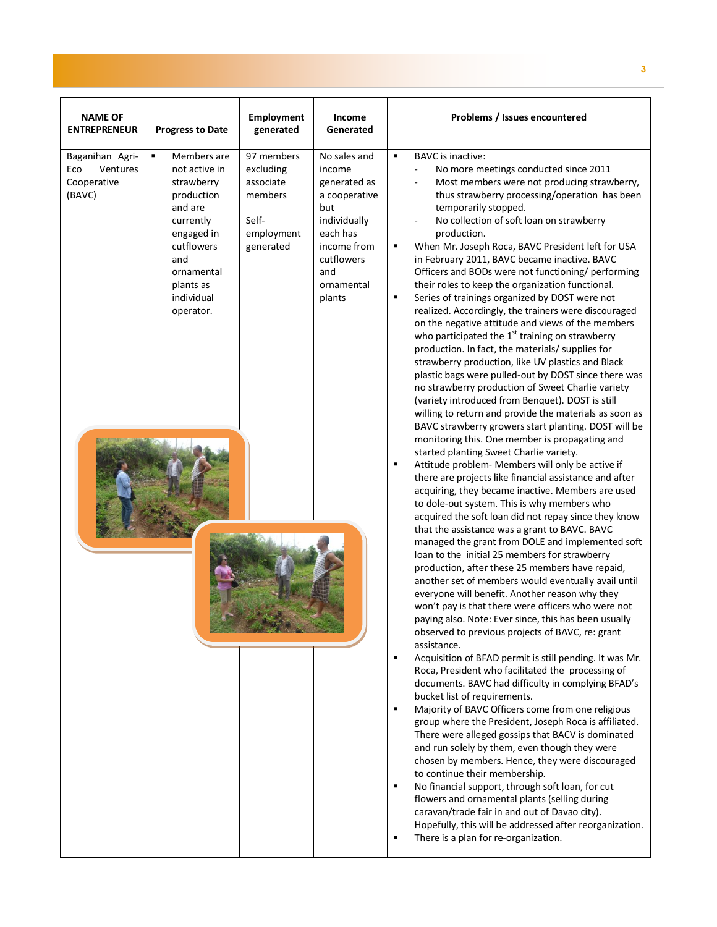| <b>NAME OF</b><br><b>ENTREPRENEUR</b>                       | <b>Progress to Date</b>                                                                                                                                                        | <b>Employment</b><br>generated                                                      | Income<br>Generated                                                                                                                                    | Problems / Issues encountered                                                                                                                                                                                                                                                                                                                                                                                                                                                                                                                                                                                                                                                                                                                                                                                                                                                                                                                                                                                                                                                                                                                                                                                                                                                                                                                                                                                                                                                                                                                                                                                                                                                                                                                                                                                                                                                                                                                                                                                                                                                                                                                                                                                                                                                                                                                                                                                                                                                                                                                                                                                                                                                                                                                                                |
|-------------------------------------------------------------|--------------------------------------------------------------------------------------------------------------------------------------------------------------------------------|-------------------------------------------------------------------------------------|--------------------------------------------------------------------------------------------------------------------------------------------------------|------------------------------------------------------------------------------------------------------------------------------------------------------------------------------------------------------------------------------------------------------------------------------------------------------------------------------------------------------------------------------------------------------------------------------------------------------------------------------------------------------------------------------------------------------------------------------------------------------------------------------------------------------------------------------------------------------------------------------------------------------------------------------------------------------------------------------------------------------------------------------------------------------------------------------------------------------------------------------------------------------------------------------------------------------------------------------------------------------------------------------------------------------------------------------------------------------------------------------------------------------------------------------------------------------------------------------------------------------------------------------------------------------------------------------------------------------------------------------------------------------------------------------------------------------------------------------------------------------------------------------------------------------------------------------------------------------------------------------------------------------------------------------------------------------------------------------------------------------------------------------------------------------------------------------------------------------------------------------------------------------------------------------------------------------------------------------------------------------------------------------------------------------------------------------------------------------------------------------------------------------------------------------------------------------------------------------------------------------------------------------------------------------------------------------------------------------------------------------------------------------------------------------------------------------------------------------------------------------------------------------------------------------------------------------------------------------------------------------------------------------------------------------|
| Baganihan Agri-<br>Ventures<br>Eco<br>Cooperative<br>(BAVC) | Members are<br>٠<br>not active in<br>strawberry<br>production<br>and are<br>currently<br>engaged in<br>cutflowers<br>and<br>ornamental<br>plants as<br>individual<br>operator. | 97 members<br>excluding<br>associate<br>members<br>Self-<br>employment<br>generated | No sales and<br>income<br>generated as<br>a cooperative<br>but<br>individually<br>each has<br>income from<br>cutflowers<br>and<br>ornamental<br>plants | <b>BAVC</b> is inactive:<br>٠<br>No more meetings conducted since 2011<br>Most members were not producing strawberry,<br>thus strawberry processing/operation has been<br>temporarily stopped.<br>No collection of soft loan on strawberry<br>production.<br>When Mr. Joseph Roca, BAVC President left for USA<br>٠<br>in February 2011, BAVC became inactive. BAVC<br>Officers and BODs were not functioning/ performing<br>their roles to keep the organization functional.<br>Series of trainings organized by DOST were not<br>٠<br>realized. Accordingly, the trainers were discouraged<br>on the negative attitude and views of the members<br>who participated the $1st$ training on strawberry<br>production. In fact, the materials/ supplies for<br>strawberry production, like UV plastics and Black<br>plastic bags were pulled-out by DOST since there was<br>no strawberry production of Sweet Charlie variety<br>(variety introduced from Benquet). DOST is still<br>willing to return and provide the materials as soon as<br>BAVC strawberry growers start planting. DOST will be<br>monitoring this. One member is propagating and<br>started planting Sweet Charlie variety.<br>Attitude problem- Members will only be active if<br>٠<br>there are projects like financial assistance and after<br>acquiring, they became inactive. Members are used<br>to dole-out system. This is why members who<br>acquired the soft loan did not repay since they know<br>that the assistance was a grant to BAVC. BAVC<br>managed the grant from DOLE and implemented soft<br>loan to the initial 25 members for strawberry<br>production, after these 25 members have repaid,<br>another set of members would eventually avail until<br>everyone will benefit. Another reason why they<br>won't pay is that there were officers who were not<br>paying also. Note: Ever since, this has been usually<br>observed to previous projects of BAVC, re: grant<br>assistance.<br>Acquisition of BFAD permit is still pending. It was Mr.<br>٠<br>Roca, President who facilitated the processing of<br>documents. BAVC had difficulty in complying BFAD's<br>bucket list of requirements.<br>Majority of BAVC Officers come from one religious<br>٠<br>group where the President, Joseph Roca is affiliated.<br>There were alleged gossips that BACV is dominated<br>and run solely by them, even though they were<br>chosen by members. Hence, they were discouraged<br>to continue their membership.<br>No financial support, through soft loan, for cut<br>٠<br>flowers and ornamental plants (selling during<br>caravan/trade fair in and out of Davao city).<br>Hopefully, this will be addressed after reorganization.<br>There is a plan for re-organization.<br>٠ |

**3**